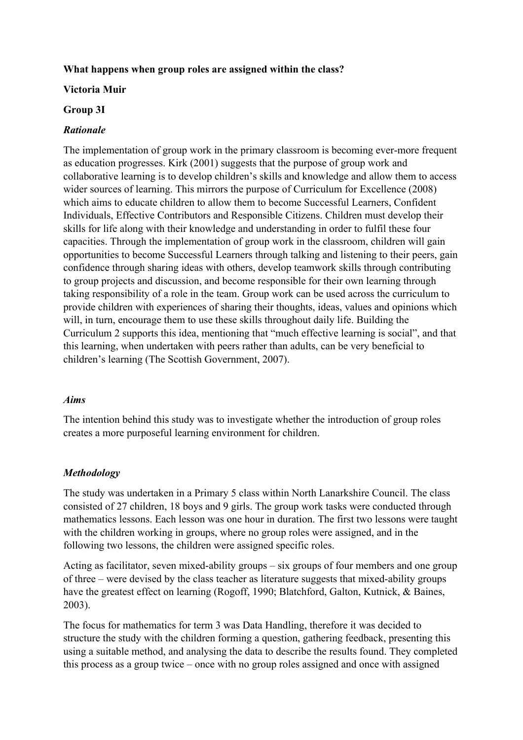# **What happens when group roles are assigned within the class?**

## **Victoria Muir**

## **Group 3I**

## *Rationale*

The implementation of group work in the primary classroom is becoming ever-more frequent as education progresses. Kirk (2001) suggests that the purpose of group work and collaborative learning is to develop children's skills and knowledge and allow them to access wider sources of learning. This mirrors the purpose of Curriculum for Excellence (2008) which aims to educate children to allow them to become Successful Learners, Confident Individuals, Effective Contributors and Responsible Citizens. Children must develop their skills for life along with their knowledge and understanding in order to fulfil these four capacities. Through the implementation of group work in the classroom, children will gain opportunities to become Successful Learners through talking and listening to their peers, gain confidence through sharing ideas with others, develop teamwork skills through contributing to group projects and discussion, and become responsible for their own learning through taking responsibility of a role in the team. Group work can be used across the curriculum to provide children with experiences of sharing their thoughts, ideas, values and opinions which will, in turn, encourage them to use these skills throughout daily life. Building the Curriculum 2 supports this idea, mentioning that "much effective learning is social", and that this learning, when undertaken with peers rather than adults, can be very beneficial to children's learning (The Scottish Government, 2007).

## *Aims*

The intention behind this study was to investigate whether the introduction of group roles creates a more purposeful learning environment for children.

# *Methodology*

The study was undertaken in a Primary 5 class within North Lanarkshire Council. The class consisted of 27 children, 18 boys and 9 girls. The group work tasks were conducted through mathematics lessons. Each lesson was one hour in duration. The first two lessons were taught with the children working in groups, where no group roles were assigned, and in the following two lessons, the children were assigned specific roles.

Acting as facilitator, seven mixed-ability groups – six groups of four members and one group of three – were devised by the class teacher as literature suggests that mixed-ability groups have the greatest effect on learning (Rogoff, 1990; Blatchford, Galton, Kutnick, & Baines, 2003).

The focus for mathematics for term 3 was Data Handling, therefore it was decided to structure the study with the children forming a question, gathering feedback, presenting this using a suitable method, and analysing the data to describe the results found. They completed this process as a group twice – once with no group roles assigned and once with assigned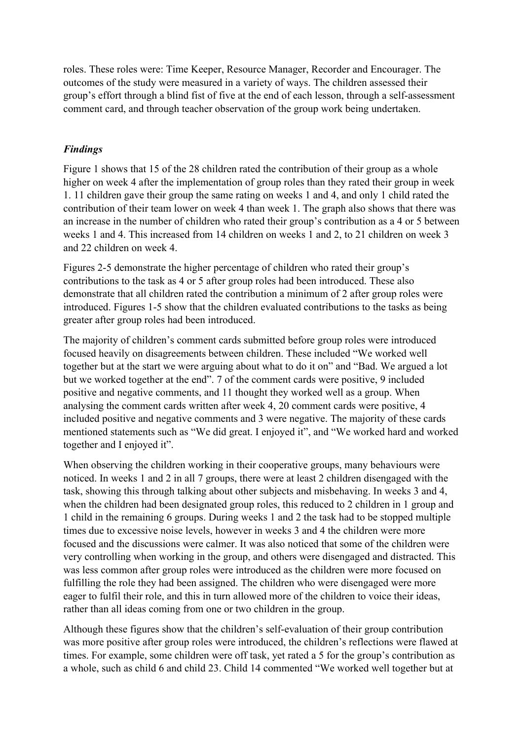roles. These roles were: Time Keeper, Resource Manager, Recorder and Encourager. The outcomes of the study were measured in a variety of ways. The children assessed their group's effort through a blind fist of five at the end of each lesson, through a self-assessment comment card, and through teacher observation of the group work being undertaken.

# *Findings*

Figure 1 shows that 15 of the 28 children rated the contribution of their group as a whole higher on week 4 after the implementation of group roles than they rated their group in week 1. 11 children gave their group the same rating on weeks 1 and 4, and only 1 child rated the contribution of their team lower on week 4 than week 1. The graph also shows that there was an increase in the number of children who rated their group's contribution as a 4 or 5 between weeks 1 and 4. This increased from 14 children on weeks 1 and 2, to 21 children on week 3 and 22 children on week 4.

Figures 2-5 demonstrate the higher percentage of children who rated their group's contributions to the task as 4 or 5 after group roles had been introduced. These also demonstrate that all children rated the contribution a minimum of 2 after group roles were introduced. Figures 1-5 show that the children evaluated contributions to the tasks as being greater after group roles had been introduced.

The majority of children's comment cards submitted before group roles were introduced focused heavily on disagreements between children. These included "We worked well together but at the start we were arguing about what to do it on" and "Bad. We argued a lot but we worked together at the end". 7 of the comment cards were positive, 9 included positive and negative comments, and 11 thought they worked well as a group. When analysing the comment cards written after week 4, 20 comment cards were positive, 4 included positive and negative comments and 3 were negative. The majority of these cards mentioned statements such as "We did great. I enjoyed it", and "We worked hard and worked together and I enjoyed it".

When observing the children working in their cooperative groups, many behaviours were noticed. In weeks 1 and 2 in all 7 groups, there were at least 2 children disengaged with the task, showing this through talking about other subjects and misbehaving. In weeks 3 and 4, when the children had been designated group roles, this reduced to 2 children in 1 group and 1 child in the remaining 6 groups. During weeks 1 and 2 the task had to be stopped multiple times due to excessive noise levels, however in weeks 3 and 4 the children were more focused and the discussions were calmer. It was also noticed that some of the children were very controlling when working in the group, and others were disengaged and distracted. This was less common after group roles were introduced as the children were more focused on fulfilling the role they had been assigned. The children who were disengaged were more eager to fulfil their role, and this in turn allowed more of the children to voice their ideas, rather than all ideas coming from one or two children in the group.

Although these figures show that the children's self-evaluation of their group contribution was more positive after group roles were introduced, the children's reflections were flawed at times. For example, some children were off task, yet rated a 5 for the group's contribution as a whole, such as child 6 and child 23. Child 14 commented "We worked well together but at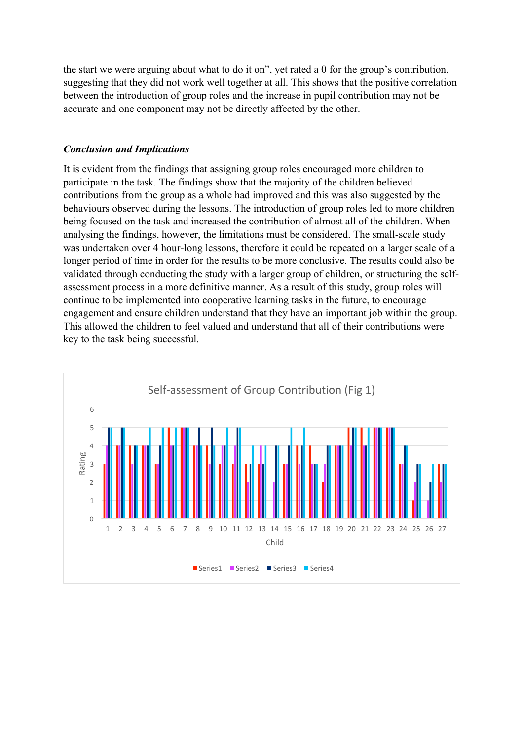the start we were arguing about what to do it on", yet rated a 0 for the group's contribution, suggesting that they did not work well together at all. This shows that the positive correlation between the introduction of group roles and the increase in pupil contribution may not be accurate and one component may not be directly affected by the other.

### *Conclusion and Implications*

It is evident from the findings that assigning group roles encouraged more children to participate in the task. The findings show that the majority of the children believed contributions from the group as a whole had improved and this was also suggested by the behaviours observed during the lessons. The introduction of group roles led to more children being focused on the task and increased the contribution of almost all of the children. When analysing the findings, however, the limitations must be considered. The small-scale study was undertaken over 4 hour-long lessons, therefore it could be repeated on a larger scale of a longer period of time in order for the results to be more conclusive. The results could also be validated through conducting the study with a larger group of children, or structuring the selfassessment process in a more definitive manner. As a result of this study, group roles will continue to be implemented into cooperative learning tasks in the future, to encourage engagement and ensure children understand that they have an important job within the group. This allowed the children to feel valued and understand that all of their contributions were key to the task being successful.